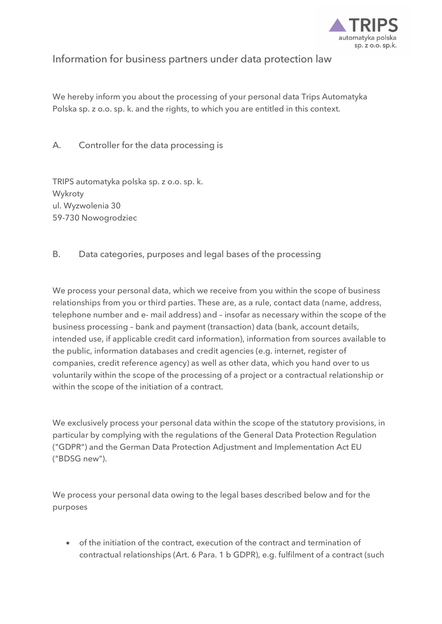

## Information for business partners under data protection law

We hereby inform you about the processing of your personal data Trips Automatyka Polska sp. z o.o. sp. k. and the rights, to which you are entitled in this context.

A. Controller for the data processing is

TRIPS automatyka polska sp. z o.o. sp. k. Wykroty ul. Wyzwolenia 30 59-730 Nowogrodziec

B. Data categories, purposes and legal bases of the processing

We process your personal data, which we receive from you within the scope of business relationships from you or third parties. These are, as a rule, contact data (name, address, telephone number and e- mail address) and – insofar as necessary within the scope of the business processing – bank and payment (transaction) data (bank, account details, intended use, if applicable credit card information), information from sources available to the public, information databases and credit agencies (e.g. internet, register of companies, credit reference agency) as well as other data, which you hand over to us voluntarily within the scope of the processing of a project or a contractual relationship or within the scope of the initiation of a contract.

We exclusively process your personal data within the scope of the statutory provisions, in particular by complying with the regulations of the General Data Protection Regulation ("GDPR") and the German Data Protection Adjustment and Implementation Act EU ("BDSG new").

We process your personal data owing to the legal bases described below and for the purposes

 of the initiation of the contract, execution of the contract and termination of contractual relationships (Art. 6 Para. 1 b GDPR), e.g. fulfilment of a contract (such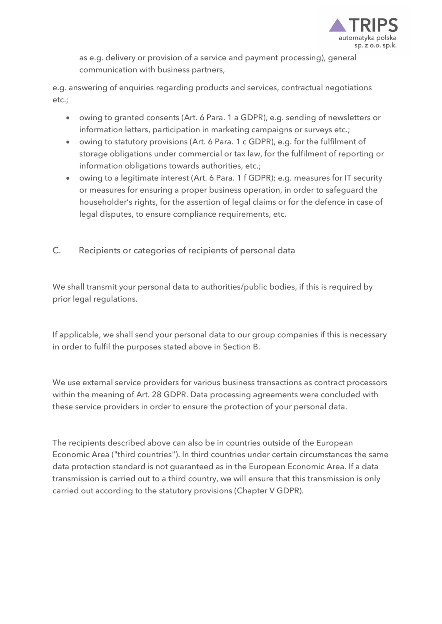

as e.g. delivery or provision of a service and payment processing), general communication with business partners,

e.g. answering of enquiries regarding products and services, contractual negotiations etc.;

- owing to granted consents (Art. 6 Para. 1 a GDPR), e.g. sending of newsletters or information letters, participation in marketing campaigns or surveys etc.;
- owing to statutory provisions (Art. 6 Para. 1 c GDPR), e.g. for the fulfilment of storage obligations under commercial or tax law, for the fulfilment of reporting or information obligations towards authorities, etc.;
- owing to a legitimate interest (Art. 6 Para. 1 f GDPR); e.g. measures for IT security or measures for ensuring a proper business operation, in order to safeguard the householder's rights, for the assertion of legal claims or for the defence in case of legal disputes, to ensure compliance requirements, etc.
- C. Recipients or categories of recipients of personal data

We shall transmit your personal data to authorities/public bodies, if this is required by prior legal regulations.

If applicable, we shall send your personal data to our group companies if this is necessary in order to fulfil the purposes stated above in Section B.

We use external service providers for various business transactions as contract processors within the meaning of Art. 28 GDPR. Data processing agreements were concluded with these service providers in order to ensure the protection of your personal data.

The recipients described above can also be in countries outside of the European Economic Area ("third countries"). In third countries under certain circumstances the same data protection standard is not guaranteed as in the European Economic Area. If a data transmission is carried out to a third country, we will ensure that this transmission is only carried out according to the statutory provisions (Chapter V GDPR).